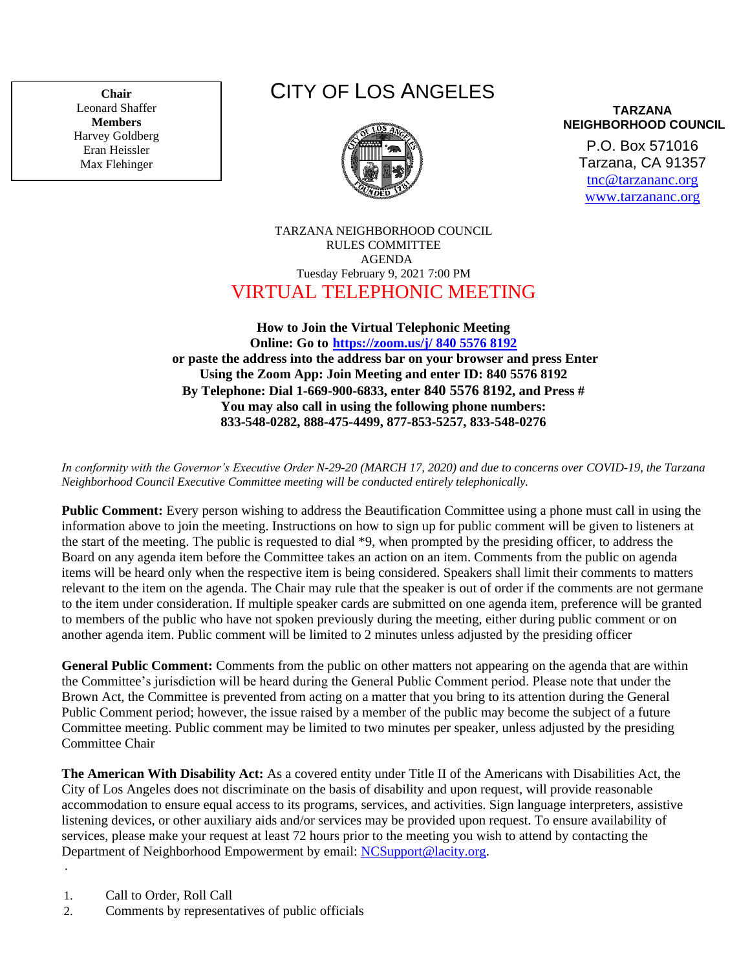**Chair** Leonard Shaffer **Members** Harvey Goldberg Eran Heissler Max Flehinger

## CITY OF LOS ANGELES



**TARZANA NEIGHBORHOOD COUNCIL**

P.O. Box 571016 Tarzana, CA 91357 [tnc@tarzananc.org](mailto:tnc@tarzananc.org) [www.tarzananc.org](http://www.tarzananc.org/)

TARZANA NEIGHBORHOOD COUNCIL RULES COMMITTEE AGENDA Tuesday February 9, 2021 7:00 PM VIRTUAL TELEPHONIC MEETING

## **How to Join the Virtual Telephonic Meeting Online: Go to [https://zoom.us/j/](https://zoom.us/j/980%206200%204644) 840 5576 8192 or paste the address into the address bar on your browser and press Enter Using the Zoom App: Join Meeting and enter ID: 840 5576 8192 By Telephone: Dial 1-669-900-6833, enter 840 5576 8192, and Press # You may also call in using the following phone numbers: 833-548-0282, 888-475-4499, 877-853-5257, 833-548-0276**

*In conformity with the Governor's Executive Order N-29-20 (MARCH 17, 2020) and due to concerns over COVID-19, the Tarzana Neighborhood Council Executive Committee meeting will be conducted entirely telephonically.*

**Public Comment:** Every person wishing to address the Beautification Committee using a phone must call in using the information above to join the meeting. Instructions on how to sign up for public comment will be given to listeners at the start of the meeting. The public is requested to dial \*9, when prompted by the presiding officer, to address the Board on any agenda item before the Committee takes an action on an item. Comments from the public on agenda items will be heard only when the respective item is being considered. Speakers shall limit their comments to matters relevant to the item on the agenda. The Chair may rule that the speaker is out of order if the comments are not germane to the item under consideration. If multiple speaker cards are submitted on one agenda item, preference will be granted to members of the public who have not spoken previously during the meeting, either during public comment or on another agenda item. Public comment will be limited to 2 minutes unless adjusted by the presiding officer

**General Public Comment:** Comments from the public on other matters not appearing on the agenda that are within the Committee's jurisdiction will be heard during the General Public Comment period. Please note that under the Brown Act, the Committee is prevented from acting on a matter that you bring to its attention during the General Public Comment period; however, the issue raised by a member of the public may become the subject of a future Committee meeting. Public comment may be limited to two minutes per speaker, unless adjusted by the presiding Committee Chair

**The American With Disability Act:** As a covered entity under Title II of the Americans with Disabilities Act, the City of Los Angeles does not discriminate on the basis of disability and upon request, will provide reasonable accommodation to ensure equal access to its programs, services, and activities. Sign language interpreters, assistive listening devices, or other auxiliary aids and/or services may be provided upon request. To ensure availability of services, please make your request at least 72 hours prior to the meeting you wish to attend by contacting the Department of Neighborhood Empowerment by email: [NCSupport@lacity.org.](mailto:NCSupport@lacity.org)

1. Call to Order, Roll Call

.

2. Comments by representatives of public officials